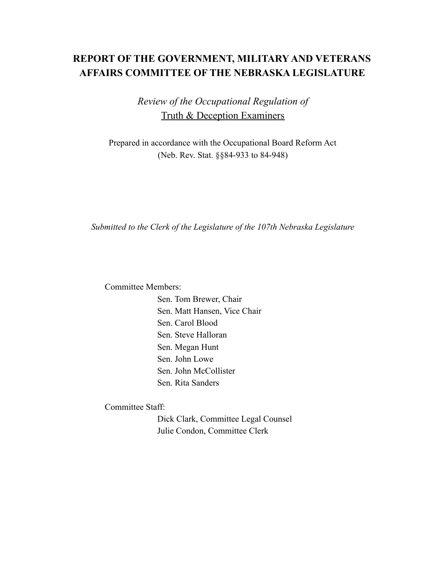## **REPORT OF THE GOVERNMENT, MILITARY AND VETERANS AFFAIRS COMMITTEE OF THE NEBRASKA LEGISLATURE**

*Review of the Occupational Regulation of* Truth & Deception Examiners

Prepared in accordance with the Occupational Board Reform Act (Neb. Rev. Stat. §§84-933 to 84-948)

*Submitted to the Clerk of the Legislature of the 107th Nebraska Legislature*

Committee Members:

Sen. Tom Brewer, Chair Sen. Matt Hansen, Vice Chair Sen. Carol Blood Sen. Steve Halloran Sen. Megan Hunt Sen. John Lowe Sen. John McCollister Sen. Rita Sanders

Committee Staff:

Dick Clark, Committee Legal Counsel Julie Condon, Committee Clerk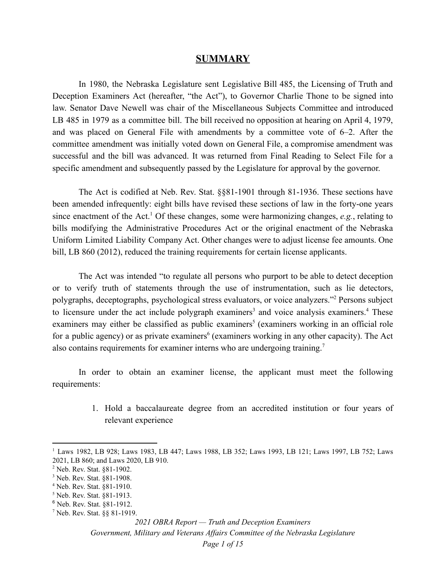#### **SUMMARY**

In 1980, the Nebraska Legislature sent Legislative Bill 485, the Licensing of Truth and Deception Examiners Act (hereafter, "the Act"), to Governor Charlie Thone to be signed into law. Senator Dave Newell was chair of the Miscellaneous Subjects Committee and introduced LB 485 in 1979 as a committee bill. The bill received no opposition at hearing on April 4, 1979, and was placed on General File with amendments by a committee vote of 6–2. After the committee amendment was initially voted down on General File, a compromise amendment was successful and the bill was advanced. It was returned from Final Reading to Select File for a specific amendment and subsequently passed by the Legislature for approval by the governor.

The Act is codified at Neb. Rev. Stat. §§81-1901 through 81-1936. These sections have been amended infrequently: eight bills have revised these sections of law in the forty-one years since enactment of the Act.<sup>1</sup> Of these changes, some were harmonizing changes, *e.g.*, relating to bills modifying the Administrative Procedures Act or the original enactment of the Nebraska Uniform Limited Liability Company Act. Other changes were to adjust license fee amounts. One bill, LB 860 (2012), reduced the training requirements for certain license applicants.

The Act was intended "to regulate all persons who purport to be able to detect deception or to verify truth of statements through the use of instrumentation, such as lie detectors, polygraphs, deceptographs, psychological stress evaluators, or voice analyzers."<sup>2</sup> Persons subject to licensure under the act include polygraph examiners<sup>3</sup> and voice analysis examiners.<sup>4</sup> These examiners may either be classified as public examiners<sup>5</sup> (examiners working in an official role for a public agency) or as private examiners<sup>6</sup> (examiners working in any other capacity). The Act also contains requirements for examiner interns who are undergoing training.<sup>7</sup>

In order to obtain an examiner license, the applicant must meet the following requirements:

> 1. Hold a baccalaureate degree from an accredited institution or four years of relevant experience

*Government, Military and Veterans Af airs Committee of the Nebraska Legislature*

<sup>&</sup>lt;sup>1</sup> Laws 1982, LB 928; Laws 1983, LB 447; Laws 1988, LB 352; Laws 1993, LB 121; Laws 1997, LB 752; Laws 2021, LB 860; and Laws 2020, LB 910.

<sup>2</sup> Neb. Rev. Stat. §81-1902.

<sup>3</sup> Neb. Rev. Stat. §81-1908.

<sup>4</sup> Neb. Rev. Stat. §81-1910.

<sup>5</sup> Neb. Rev. Stat. §81-1913.

<sup>6</sup> Neb. Rev. Stat. §81-1912.

<sup>7</sup> Neb. Rev. Stat. §§ 81-1919.

*<sup>2021</sup> OBRA Report — Truth and Deception Examiners*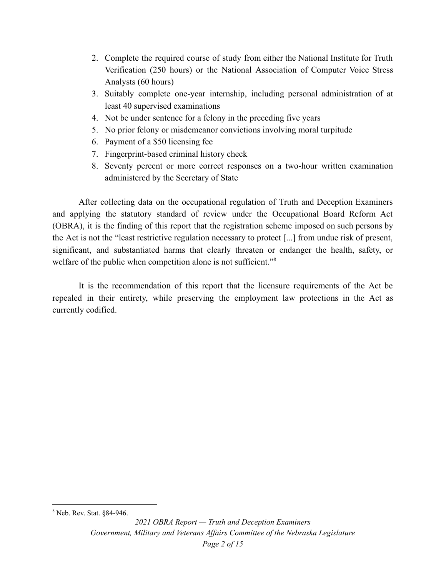- 2. Complete the required course of study from either the National Institute for Truth Verification (250 hours) or the National Association of Computer Voice Stress Analysts (60 hours)
- 3. Suitably complete one-year internship, including personal administration of at least 40 supervised examinations
- 4. Not be under sentence for a felony in the preceding five years
- 5. No prior felony or misdemeanor convictions involving moral turpitude
- 6. Payment of a \$50 licensing fee
- 7. Fingerprint-based criminal history check
- 8. Seventy percent or more correct responses on a two-hour written examination administered by the Secretary of State

After collecting data on the occupational regulation of Truth and Deception Examiners and applying the statutory standard of review under the Occupational Board Reform Act (OBRA), it is the finding of this report that the registration scheme imposed on such persons by the Act is not the "least restrictive regulation necessary to protect [...] from undue risk of present, significant, and substantiated harms that clearly threaten or endanger the health, safety, or welfare of the public when competition alone is not sufficient."<sup>8</sup>

It is the recommendation of this report that the licensure requirements of the Act be repealed in their entirety, while preserving the employment law protections in the Act as currently codified.

<sup>8</sup> Neb. Rev. Stat. §84-946.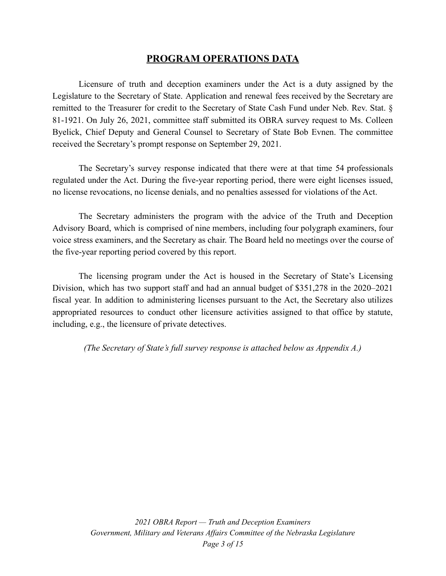## **PROGRAM OPERATIONS DATA**

Licensure of truth and deception examiners under the Act is a duty assigned by the Legislature to the Secretary of State. Application and renewal fees received by the Secretary are remitted to the Treasurer for credit to the Secretary of State Cash Fund under Neb. Rev. Stat. § 81-1921. On July 26, 2021, committee staff submitted its OBRA survey request to Ms. Colleen Byelick, Chief Deputy and General Counsel to Secretary of State Bob Evnen. The committee received the Secretary's prompt response on September 29, 2021.

The Secretary's survey response indicated that there were at that time 54 professionals regulated under the Act. During the five-year reporting period, there were eight licenses issued, no license revocations, no license denials, and no penalties assessed for violations of the Act.

The Secretary administers the program with the advice of the Truth and Deception Advisory Board, which is comprised of nine members, including four polygraph examiners, four voice stress examiners, and the Secretary as chair. The Board held no meetings over the course of the five-year reporting period covered by this report.

The licensing program under the Act is housed in the Secretary of State's Licensing Division, which has two support staff and had an annual budget of \$351,278 in the 2020–2021 fiscal year. In addition to administering licenses pursuant to the Act, the Secretary also utilizes appropriated resources to conduct other licensure activities assigned to that office by statute, including, e.g., the licensure of private detectives.

*(The Secretary of State's full survey response is attached below as Appendix A.)*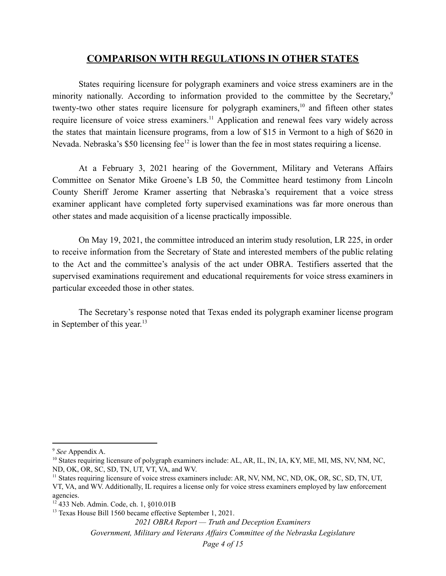### **COMPARISON WITH REGULATIONS IN OTHER STATES**

States requiring licensure for polygraph examiners and voice stress examiners are in the minority nationally. According to information provided to the committee by the Secretary,<sup>9</sup> twenty-two other states require licensure for polygraph examiners, $\frac{10}{10}$  and fifteen other states require licensure of voice stress examiners.<sup>11</sup> Application and renewal fees vary widely across the states that maintain licensure programs, from a low of \$15 in Vermont to a high of \$620 in Nevada. Nebraska's \$50 licensing fee<sup>12</sup> is lower than the fee in most states requiring a license.

At a February 3, 2021 hearing of the Government, Military and Veterans Affairs Committee on Senator Mike Groene's LB 50, the Committee heard testimony from Lincoln County Sheriff Jerome Kramer asserting that Nebraska's requirement that a voice stress examiner applicant have completed forty supervised examinations was far more onerous than other states and made acquisition of a license practically impossible.

On May 19, 2021, the committee introduced an interim study resolution, LR 225, in order to receive information from the Secretary of State and interested members of the public relating to the Act and the committee's analysis of the act under OBRA. Testifiers asserted that the supervised examinations requirement and educational requirements for voice stress examiners in particular exceeded those in other states.

The Secretary's response noted that Texas ended its polygraph examiner license program in September of this year.<sup>13</sup>

*Government, Military and Veterans Af airs Committee of the Nebraska Legislature*

<sup>9</sup> *See* Appendix A.

<sup>&</sup>lt;sup>10</sup> States requiring licensure of polygraph examiners include: AL, AR, IL, IN, IA, KY, ME, MI, MS, NV, NM, NC, ND, OK, OR, SC, SD, TN, UT, VT, VA, and WV.

<sup>&</sup>lt;sup>11</sup> States requiring licensure of voice stress examiners include: AR, NV, NM, NC, ND, OK, OR, SC, SD, TN, UT, VT, VA, and WV. Additionally, IL requires a license only for voice stress examiners employed by law enforcement agencies.

 $12$  433 Neb. Admin. Code, ch. 1,  $§010.01B$ 

<sup>&</sup>lt;sup>13</sup> Texas House Bill 1560 became effective September 1, 2021.

*<sup>2021</sup> OBRA Report — Truth and Deception Examiners*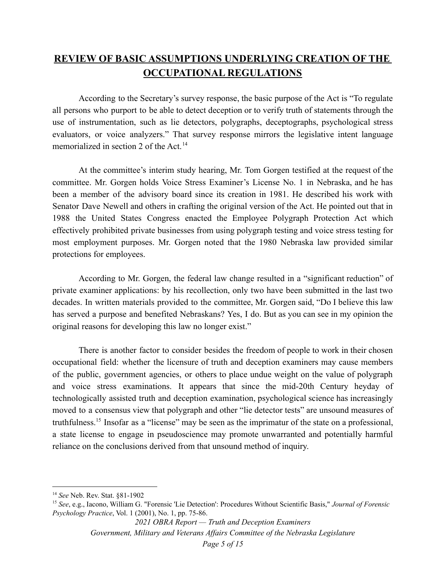# **REVIEW OF BASIC ASSUMPTIONS UNDERLYING CREATION OF THE OCCUPATIONAL REGULATIONS**

According to the Secretary's survey response, the basic purpose of the Act is "To regulate all persons who purport to be able to detect deception or to verify truth of statements through the use of instrumentation, such as lie detectors, polygraphs, deceptographs, psychological stress evaluators, or voice analyzers." That survey response mirrors the legislative intent language memorialized in section 2 of the Act.<sup>14</sup>

At the committee's interim study hearing, Mr. Tom Gorgen testified at the request of the committee. Mr. Gorgen holds Voice Stress Examiner's License No. 1 in Nebraska, and he has been a member of the advisory board since its creation in 1981. He described his work with Senator Dave Newell and others in crafting the original version of the Act. He pointed out that in 1988 the United States Congress enacted the Employee Polygraph Protection Act which effectively prohibited private businesses from using polygraph testing and voice stress testing for most employment purposes. Mr. Gorgen noted that the 1980 Nebraska law provided similar protections for employees.

According to Mr. Gorgen, the federal law change resulted in a "significant reduction" of private examiner applications: by his recollection, only two have been submitted in the last two decades. In written materials provided to the committee, Mr. Gorgen said, "Do I believe this law has served a purpose and benefited Nebraskans? Yes, I do. But as you can see in my opinion the original reasons for developing this law no longer exist."

There is another factor to consider besides the freedom of people to work in their chosen occupational field: whether the licensure of truth and deception examiners may cause members of the public, government agencies, or others to place undue weight on the value of polygraph and voice stress examinations. It appears that since the mid-20th Century heyday of technologically assisted truth and deception examination, psychological science has increasingly moved to a consensus view that polygraph and other "lie detector tests" are unsound measures of truthfulness.<sup>15</sup> Insofar as a "license" may be seen as the imprimatur of the state on a professional, a state license to engage in pseudoscience may promote unwarranted and potentially harmful reliance on the conclusions derived from that unsound method of inquiry.

*Government, Military and Veterans Af airs Committee of the Nebraska Legislature*

<sup>14</sup> *See* Neb. Rev. Stat. §81-1902

<sup>15</sup> *See*, e.g., Iacono, William G. "Forensic 'Lie Detection': Procedures Without Scientific Basis," *Journal of Forensic Psychology Practice*, Vol. 1 (2001), No. 1, pp. 75-86.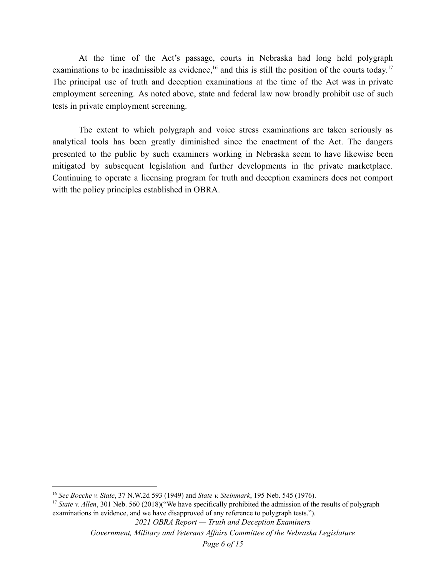At the time of the Act's passage, courts in Nebraska had long held polygraph examinations to be inadmissible as evidence,  $16$  and this is still the position of the courts today.<sup>17</sup> The principal use of truth and deception examinations at the time of the Act was in private employment screening. As noted above, state and federal law now broadly prohibit use of such tests in private employment screening.

The extent to which polygraph and voice stress examinations are taken seriously as analytical tools has been greatly diminished since the enactment of the Act. The dangers presented to the public by such examiners working in Nebraska seem to have likewise been mitigated by subsequent legislation and further developments in the private marketplace. Continuing to operate a licensing program for truth and deception examiners does not comport with the policy principles established in OBRA.

*2021 OBRA Report — Truth and Deception Examiners*

<sup>16</sup> *See Boeche v. State*, 37 N.W.2d 593 (1949) and *State v. Steinmark*, 195 Neb. 545 (1976).

<sup>&</sup>lt;sup>17</sup> *State v. Allen*, 301 Neb. 560 (2018)("We have specifically prohibited the admission of the results of polygraph examinations in evidence, and we have disapproved of any reference to polygraph tests.").

*Government, Military and Veterans Af airs Committee of the Nebraska Legislature*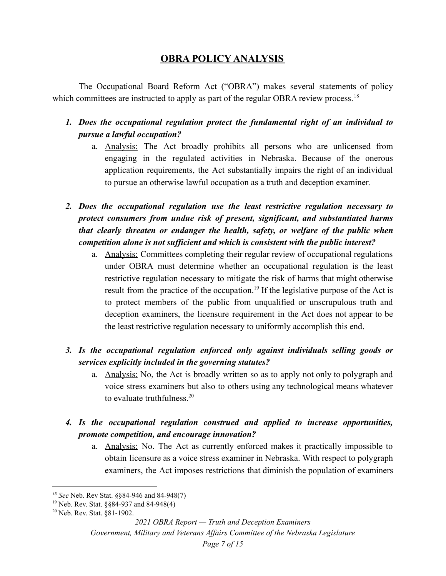## **OBRA POLICY ANALYSIS**

The Occupational Board Reform Act ("OBRA") makes several statements of policy which committees are instructed to apply as part of the regular OBRA review process.<sup>18</sup>

- *1. Does the occupational regulation protect the fundamental right of an individual to pursue a lawful occupation?*
	- a. Analysis: The Act broadly prohibits all persons who are unlicensed from engaging in the regulated activities in Nebraska. Because of the onerous application requirements, the Act substantially impairs the right of an individual to pursue an otherwise lawful occupation as a truth and deception examiner.
- *2. Does the occupational regulation use the least restrictive regulation necessary to protect consumers from undue risk of present, significant, and substantiated harms that clearly threaten or endanger the health, safety, or welfare of the public when competition alone is not sufficient and which is consistent with the public interest?*
	- a. Analysis: Committees completing their regular review of occupational regulations under OBRA must determine whether an occupational regulation is the least restrictive regulation necessary to mitigate the risk of harms that might otherwise result from the practice of the occupation.<sup>19</sup> If the legislative purpose of the Act is to protect members of the public from unqualified or unscrupulous truth and deception examiners, the licensure requirement in the Act does not appear to be the least restrictive regulation necessary to uniformly accomplish this end.
- *3. Is the occupational regulation enforced only against individuals selling goods or services explicitly included in the governing statutes?*
	- a. Analysis: No, the Act is broadly written so as to apply not only to polygraph and voice stress examiners but also to others using any technological means whatever to evaluate truthfulness  $20$
- *4. Is the occupational regulation construed and applied to increase opportunities, promote competition, and encourage innovation?*
	- a. Analysis: No. The Act as currently enforced makes it practically impossible to obtain licensure as a voice stress examiner in Nebraska. With respect to polygraph examiners, the Act imposes restrictions that diminish the population of examiners

*<sup>18</sup> See* Neb. Rev Stat. §§84-946 and 84-948(7)

<sup>19</sup> Neb. Rev. Stat. §§84-937 and 84-948(4)

<sup>20</sup> Neb. Rev. Stat. §81-1902.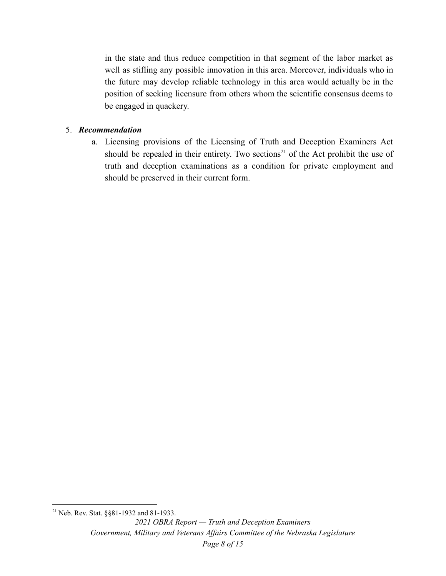in the state and thus reduce competition in that segment of the labor market as well as stifling any possible innovation in this area. Moreover, individuals who in the future may develop reliable technology in this area would actually be in the position of seeking licensure from others whom the scientific consensus deems to be engaged in quackery.

### 5. *Recommendation*

a. Licensing provisions of the Licensing of Truth and Deception Examiners Act should be repealed in their entirety. Two sections<sup>21</sup> of the Act prohibit the use of truth and deception examinations as a condition for private employment and should be preserved in their current form.

<sup>21</sup> Neb. Rev. Stat. §§81-1932 and 81-1933.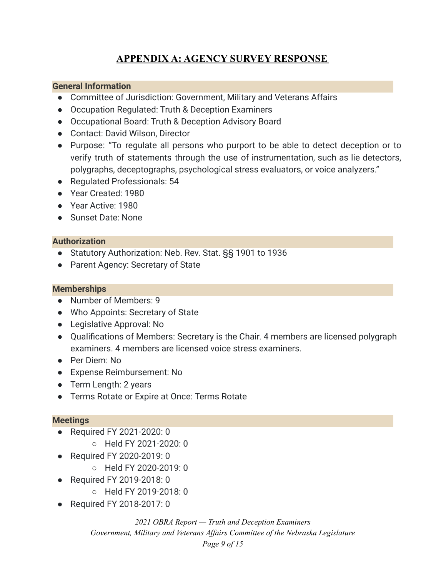## **APPENDIX A: AGENCY SURVEY RESPONSE**

### **General Information**

- Committee of Jurisdiction: Government, Military and Veterans Affairs
- Occupation Regulated: Truth & Deception Examiners
- Occupational Board: Truth & Deception Advisory Board
- Contact: David Wilson, Director
- Purpose: "To regulate all persons who purport to be able to detect deception or to verify truth of statements through the use of instrumentation, such as lie detectors, polygraphs, deceptographs, psychological stress evaluators, or voice analyzers."
- Regulated Professionals: 54
- Year Created: 1980
- Year Active: 1980
- Sunset Date: None

#### **Authorization**

- Statutory Authorization: Neb. Rev. Stat. §§ 1901 to 1936
- Parent Agency: Secretary of State

### **Memberships**

- Number of Members: 9
- Who Appoints: Secretary of State
- Legislative Approval: No
- Qualifications of Members: Secretary is the Chair. 4 members are licensed polygraph examiners. 4 members are licensed voice stress examiners.
- Per Diem: No
- Expense Reimbursement: No
- Term Length: 2 years
- Terms Rotate or Expire at Once: Terms Rotate

#### **Meetings**

- Required FY 2021-2020: 0
	- Held FY 2021-2020: 0
- Required FY 2020-2019: 0
	- Held FY 2020-2019: 0
- Required FY 2019-2018: 0
	- Held FY 2019-2018: 0
- Required FY 2018-2017: 0

*2021 OBRA Report — Truth and Deception Examiners Government, Military and Veterans Af airs Committee of the Nebraska Legislature Page 9 of 15*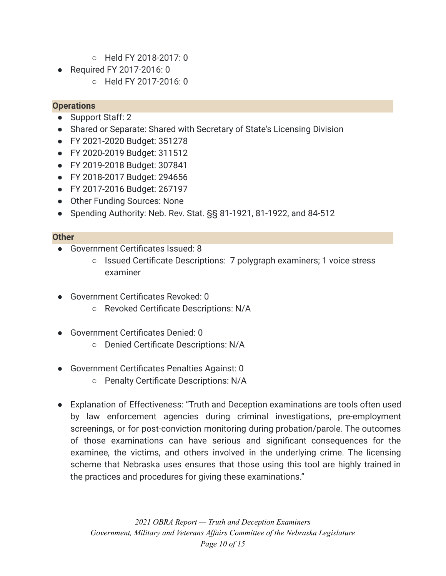- Held FY 2018-2017: 0
- Required FY 2017-2016: 0
	- Held FY 2017-2016: 0

### **Operations**

- Support Staff: 2
- Shared or Separate: Shared with Secretary of State's Licensing Division
- FY 2021-2020 Budget: 351278
- FY 2020-2019 Budget: 311512
- FY 2019-2018 Budget: 307841
- FY 2018-2017 Budget: 294656
- FY 2017-2016 Budget: 267197
- Other Funding Sources: None
- Spending Authority: Neb. Rev. Stat. §§ 81-1921, 81-1922, and 84-512

### **Other**

- Government Certificates Issued: 8
	- Issued Certificate Descriptions: 7 polygraph examiners; 1 voice stress examiner
- Government Certificates Revoked: 0
	- Revoked Certificate Descriptions: N/A
- Government Certificates Denied: 0
	- Denied Certificate Descriptions: N/A
- Government Certificates Penalties Against: 0
	- Penalty Certificate Descriptions: N/A
- Explanation of Effectiveness: "Truth and Deception examinations are tools often used by law enforcement agencies during criminal investigations, pre-employment screenings, or for post-conviction monitoring during probation/parole. The outcomes of those examinations can have serious and significant consequences for the examinee, the victims, and others involved in the underlying crime. The licensing scheme that Nebraska uses ensures that those using this tool are highly trained in the practices and procedures for giving these examinations."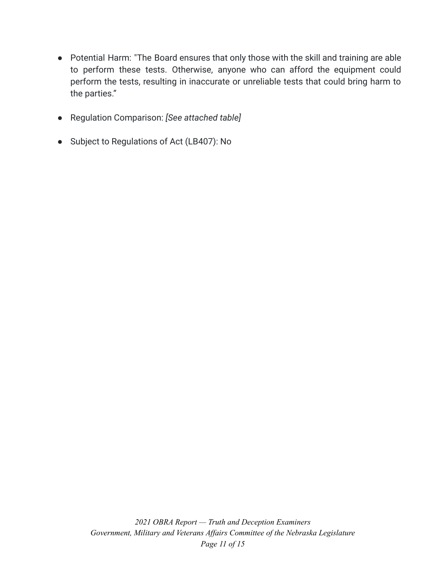- Potential Harm: "The Board ensures that only those with the skill and training are able to perform these tests. Otherwise, anyone who can afford the equipment could perform the tests, resulting in inaccurate or unreliable tests that could bring harm to the parties."
- Regulation Comparison: *[See attached table]*
- Subject to Regulations of Act (LB407): No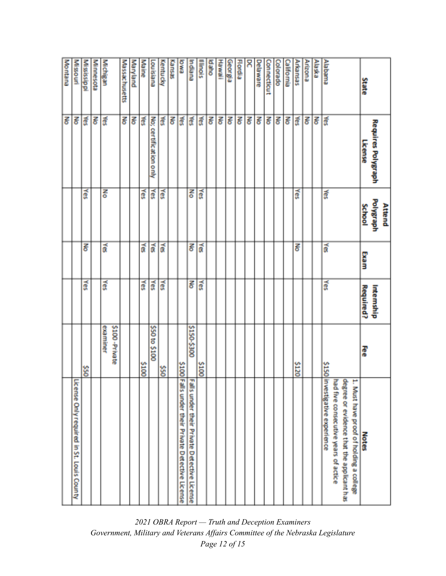| Montana | <b>Missouri</b>                           | Mississippi | <b>Minnesota</b> | Michigan  |               | Massachusetts | <b>Maryland</b> | <b>Maine</b> | Louisiana              | Kentucky   | Kansas | <b>BWG</b> | Indiana                                                                                          | Illinois    | <b>Debo</b> | <b>Hawaii</b> | Georgia | <b>Flordia</b> | 8 | Delaware | <b>Connectiout</b> | Colorado | <b>California</b> | <b>Arkansas</b> | Arizona | <b>Alaska</b> | Alabama                                                                                                                                                           |  |
|---------|-------------------------------------------|-------------|------------------|-----------|---------------|---------------|-----------------|--------------|------------------------|------------|--------|------------|--------------------------------------------------------------------------------------------------|-------------|-------------|---------------|---------|----------------|---|----------|--------------------|----------|-------------------|-----------------|---------|---------------|-------------------------------------------------------------------------------------------------------------------------------------------------------------------|--|
| ह       | ह                                         | శ్లే        | 종                | శే        |               | 롱             | Z               | 줐            | No; certification only | Ř          | Z      | χes        | 斎                                                                                                | 贡           | 롱           | 롱             | 롱       | 롱              | 롱 | 롱        | 롱                  | 중        | Z                 | 斎               | 중       | 롱             | 斎                                                                                                                                                                 |  |
|         |                                           | ă           |                  | 종         |               |               |                 | λes          | χes                    | Yes        |        |            | 중                                                                                                | Yes         |             |               |         |                |   |          |                    |          |                   | Yes             |         |               | ã                                                                                                                                                                 |  |
|         |                                           | Z           |                  | á         |               |               |                 | 斎            | ã                      | ă          |        |            | 종                                                                                                | 贡           |             |               |         |                |   |          |                    |          |                   | Z               |         |               | 贡                                                                                                                                                                 |  |
|         |                                           | Yes         |                  | χes       |               |               |                 | Yes          | Yes                    | Yes        |        |            | 롱                                                                                                | Yes         |             |               |         |                |   |          |                    |          |                   |                 |         |               | Yes                                                                                                                                                               |  |
|         |                                           | <b>OS\$</b> |                  | exa miner | \$100-Private |               |                 | 2100         | S50 to \$100           | <b>SSO</b> |        |            | 00E\$-051\$                                                                                      | <b>S100</b> |             |               |         |                |   |          |                    |          |                   | \$120           |         |               |                                                                                                                                                                   |  |
|         | License Only required in St. Louis County |             |                  |           |               |               |                 |              |                        |            |        |            | Falls under their Private Detective License<br>\$100 Falls under their Private Detective License |             |             |               |         |                |   |          |                    |          |                   |                 |         |               | \$150 in vestigative experience<br>degree or evidence that the applicant has<br>had five consecutive years of actice<br>۳<br>Must have proof of holding a college |  |

*2021 OBRA Report — Truth and Deception Examiners Government, Military and Veterans Af airs Committee of the Nebraska Legislature Page 12 of 15*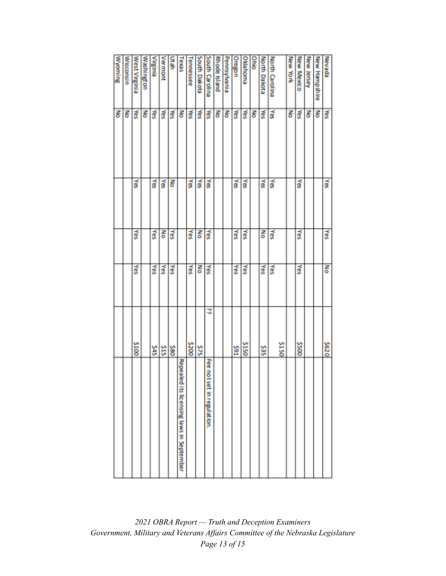| Wyoming | Wisconsin | West Virginia | Washington | <b>Airginia</b> | Vermont | ے<br>و | Texas                                       | <b>Tennessee</b> | South Dakota | South Carolina                | Rhode Island | Pennsylvania | Oregon | Oklahoma    | <b>Ohio</b> | North Dakota | <b>North Carolina</b> |       | New York | New Mexico | New Jersey | New Hampshire | Nevada |
|---------|-----------|---------------|------------|-----------------|---------|--------|---------------------------------------------|------------------|--------------|-------------------------------|--------------|--------------|--------|-------------|-------------|--------------|-----------------------|-------|----------|------------|------------|---------------|--------|
| 롱       | Š         | ₹             | 롱          | ₹               | ₹       | ₹      | 롱                                           | ã                | ã            | ξŘ                            | 롱            | 롱            | Š      | 斎           | 롱           | Š            | 贡                     |       | 롱        | ã          | 롱          | Š             | ã      |
|         |           | 贡             |            | á               | 贡       | 롱      |                                             | ã                | ã            | ã                             |              |              | ă      | á           |             | 贡            | ã                     |       |          | ã          |            |               | ã      |
|         |           | ₹             |            | ₹               | 중       | ă      |                                             | ã                | 종            | ₹                             |              |              | 즗      | ត្ថិ        |             | 중            | Yes                   |       |          | ₫          |            |               | Xes    |
|         |           | ≸             |            | š               | λes     | χes    |                                             | ă                | 중            | ₹                             |              |              | λēς    | ă           |             | λēς          | χes                   |       |          | š          |            |               | 종      |
|         |           | <b>S100</b>   |            | š               | \$15    | COBS   |                                             | 002\$            | \$75         | ನ                             |              |              | 16\$   | <b>S150</b> |             | š            |                       | \$150 |          | 005\$      |            |               | 079\$  |
|         |           |               |            |                 |         |        | Repeale<br>dits licensing laws in September |                  |              | Fee not<br>set in regulation. |              |              |        |             |             |              |                       |       |          |            |            |               |        |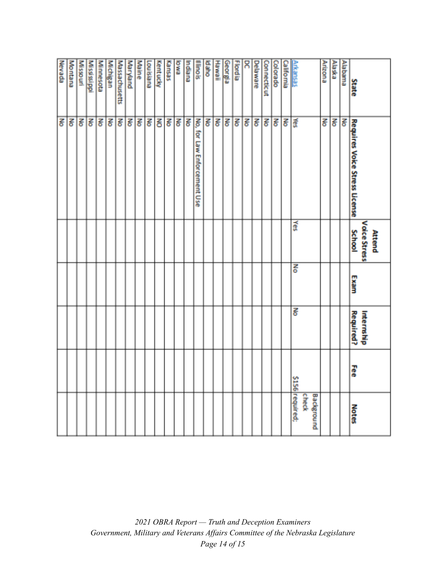|                     |   |                  |      |                               | 중                              | Revada             |
|---------------------|---|------------------|------|-------------------------------|--------------------------------|--------------------|
|                     |   |                  |      |                               | 종                              | Montana            |
|                     |   |                  |      |                               | 히                              | <b>Missouri</b>    |
|                     |   |                  |      |                               |                                | Mississippi        |
|                     |   |                  |      |                               | ह                              | <b>Minnesota</b>   |
|                     |   |                  |      |                               | 종                              | <b>Michigan</b>    |
|                     |   |                  |      |                               | 종                              | Massachusetts      |
|                     |   |                  |      |                               | 종                              | Maryland           |
|                     |   |                  |      |                               | 종                              | Maine              |
|                     |   |                  |      |                               | 종                              | Louisiana          |
|                     |   |                  |      |                               | š                              | <b>Kentucky</b>    |
|                     |   |                  |      |                               | Š                              | Kansas             |
|                     |   |                  |      |                               | 롱                              | BWQ                |
|                     |   |                  |      |                               | ह                              | Indiana            |
|                     |   |                  |      |                               | No,<br>for Law Enforcement Use | Illinois           |
|                     |   |                  |      |                               | Z                              | bdaho              |
|                     |   |                  |      |                               | ह                              | Hawaii             |
|                     |   |                  |      |                               | 롱                              | Georgia            |
|                     |   |                  |      |                               | Ιš                             | <b>Flordia</b>     |
|                     |   |                  |      |                               | 종                              | Χ                  |
|                     |   |                  |      |                               | 롱                              | Delaware           |
|                     |   |                  |      |                               | 롱                              | <b>Connecticut</b> |
|                     |   |                  |      |                               | 종                              | Colorado           |
|                     |   |                  |      |                               | 종                              | California         |
| \$156 required;     |   | 롱                | 종    | ₹                             | ă                              | <b>Arkansas</b>    |
| check<br>Background |   |                  |      |                               |                                |                    |
|                     |   |                  |      |                               | 롱                              | Arizona            |
|                     |   |                  |      |                               | 롱                              | Alaska             |
|                     |   |                  |      |                               | ह                              | Alabama            |
| <b>Notes</b>        | Ŧ | <b>Required?</b> | Exam | <b>School</b>                 | Requires Voice Stress License  | State              |
|                     |   | Internship       |      | Voice Stress<br><b>Attend</b> |                                |                    |
|                     |   |                  |      |                               |                                |                    |